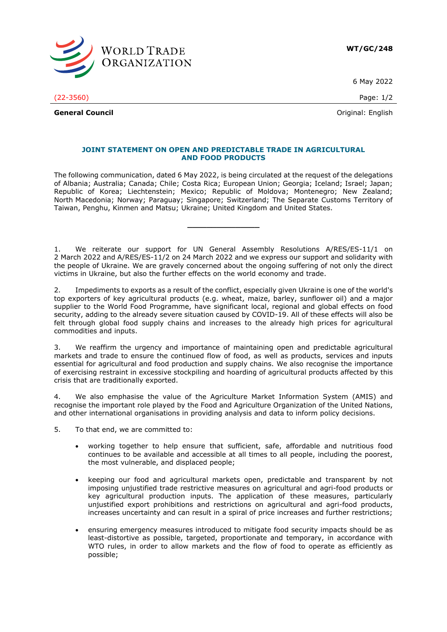

6 May 2022

(22-3560) Page: 1/2

**General Council General Council Council Council Council Council Council Council Council Council Council Council Council Council Council Council Council Council Council Council Counc** 

## **JOINT STATEMENT ON OPEN AND PREDICTABLE TRADE IN AGRICULTURAL AND FOOD PRODUCTS**

The following communication, dated 6 May 2022, is being circulated at the request of the delegations of Albania; Australia; Canada; Chile; Costa Rica; European Union; Georgia; Iceland; Israel; Japan; Republic of Korea; Liechtenstein; Mexico; Republic of Moldova; Montenegro; New Zealand; North Macedonia; Norway; Paraguay; Singapore; Switzerland; The Separate Customs Territory of Taiwan, Penghu, Kinmen and Matsu; Ukraine; United Kingdom and United States.

**\_\_\_\_\_\_\_\_\_\_\_\_\_\_\_**

1. We reiterate our support for UN General Assembly Resolutions A/RES/ES-11/1 on 2 March 2022 and A/RES/ES-11/2 on 24 March 2022 and we express our support and solidarity with the people of Ukraine. We are gravely concerned about the ongoing suffering of not only the direct victims in Ukraine, but also the further effects on the world economy and trade.

2. Impediments to exports as a result of the conflict, especially given Ukraine is one of the world's top exporters of key agricultural products (e.g. wheat, maize, barley, sunflower oil) and a major supplier to the World Food Programme, have significant local, regional and global effects on food security, adding to the already severe situation caused by COVID-19. All of these effects will also be felt through global food supply chains and increases to the already high prices for agricultural commodities and inputs.

3. We reaffirm the urgency and importance of maintaining open and predictable agricultural markets and trade to ensure the continued flow of food, as well as products, services and inputs essential for agricultural and food production and supply chains. We also recognise the importance of exercising restraint in excessive stockpiling and hoarding of agricultural products affected by this crisis that are traditionally exported.

4. We also emphasise the value of the Agriculture Market Information System (AMIS) and recognise the important role played by the Food and Agriculture Organization of the United Nations, and other international organisations in providing analysis and data to inform policy decisions.

5. To that end, we are committed to:

- working together to help ensure that sufficient, safe, affordable and nutritious food continues to be available and accessible at all times to all people, including the poorest, the most vulnerable, and displaced people;
- keeping our food and agricultural markets open, predictable and transparent by not imposing unjustified trade restrictive measures on agricultural and agri-food products or key agricultural production inputs. The application of these measures, particularly unjustified export prohibitions and restrictions on agricultural and agri-food products, increases uncertainty and can result in a spiral of price increases and further restrictions;
- ensuring emergency measures introduced to mitigate food security impacts should be as least-distortive as possible, targeted, proportionate and temporary, in accordance with WTO rules, in order to allow markets and the flow of food to operate as efficiently as possible;